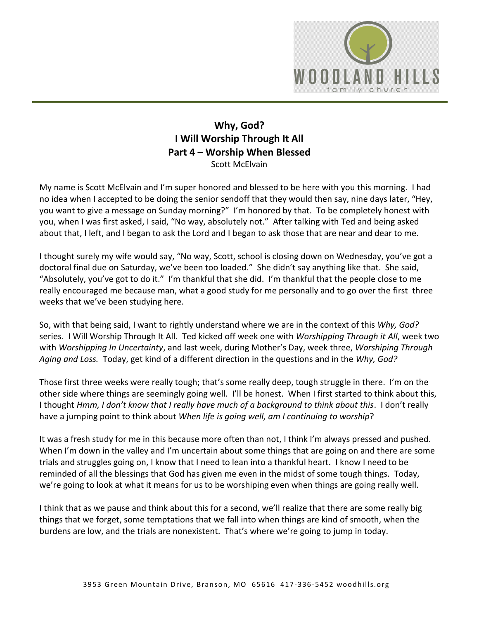

## **Why, God? I Will Worship Through It All Part 4 – Worship When Blessed**  Scott McElvain

My name is Scott McElvain and I'm super honored and blessed to be here with you this morning. I had no idea when I accepted to be doing the senior sendoff that they would then say, nine days later, "Hey, you want to give a message on Sunday morning?" I'm honored by that. To be completely honest with you, when I was first asked, I said, "No way, absolutely not." After talking with Ted and being asked about that, I left, and I began to ask the Lord and I began to ask those that are near and dear to me.

I thought surely my wife would say, "No way, Scott, school is closing down on Wednesday, you've got a doctoral final due on Saturday, we've been too loaded." She didn't say anything like that. She said, "Absolutely, you've got to do it." I'm thankful that she did. I'm thankful that the people close to me really encouraged me because man, what a good study for me personally and to go over the first three weeks that we've been studying here.

So, with that being said, I want to rightly understand where we are in the context of this *Why, God?* series. I Will Worship Through It All. Ted kicked off week one with *Worshipping Through it All*, week two with *Worshipping In Uncertainty*, and last week, during Mother's Day, week three, *Worshiping Through Aging and Loss.* Today, get kind of a different direction in the questions and in the *Why, God?*

Those first three weeks were really tough; that's some really deep, tough struggle in there. I'm on the other side where things are seemingly going well. I'll be honest. When I first started to think about this, I thought *Hmm, I don't know that I really have much of a background to think about this*. I don't really have a jumping point to think about *When life is going well, am I continuing to worship*?

It was a fresh study for me in this because more often than not, I think I'm always pressed and pushed. When I'm down in the valley and I'm uncertain about some things that are going on and there are some trials and struggles going on, I know that I need to lean into a thankful heart. I know I need to be reminded of all the blessings that God has given me even in the midst of some tough things. Today, we're going to look at what it means for us to be worshiping even when things are going really well.

I think that as we pause and think about this for a second, we'll realize that there are some really big things that we forget, some temptations that we fall into when things are kind of smooth, when the burdens are low, and the trials are nonexistent. That's where we're going to jump in today.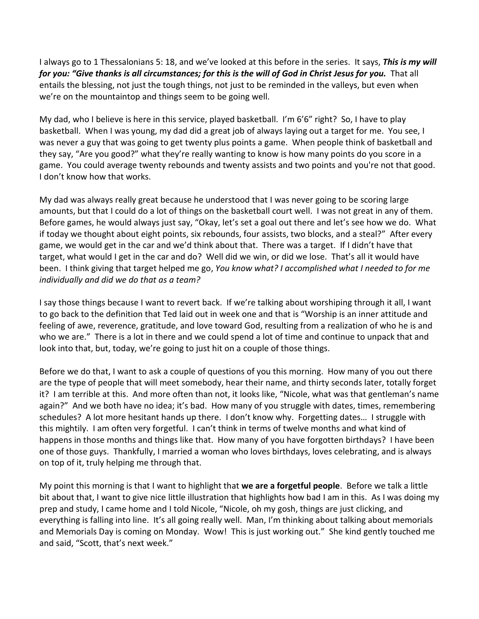I always go to 1 Thessalonians 5: 18, and we've looked at this before in the series. It says, *This is my will for you: "Give thanks is all circumstances; for this is the will of God in Christ Jesus for you.* That all entails the blessing, not just the tough things, not just to be reminded in the valleys, but even when we're on the mountaintop and things seem to be going well.

My dad, who I believe is here in this service, played basketball. I'm 6'6" right? So, I have to play basketball. When I was young, my dad did a great job of always laying out a target for me. You see, I was never a guy that was going to get twenty plus points a game. When people think of basketball and they say, "Are you good?" what they're really wanting to know is how many points do you score in a game. You could average twenty rebounds and twenty assists and two points and you're not that good. I don't know how that works.

My dad was always really great because he understood that I was never going to be scoring large amounts, but that I could do a lot of things on the basketball court well. I was not great in any of them. Before games, he would always just say, "Okay, let's set a goal out there and let's see how we do. What if today we thought about eight points, six rebounds, four assists, two blocks, and a steal?" After every game, we would get in the car and we'd think about that. There was a target. If I didn't have that target, what would I get in the car and do? Well did we win, or did we lose. That's all it would have been. I think giving that target helped me go, *You know what? I accomplished what I needed to for me individually and did we do that as a team?* 

I say those things because I want to revert back. If we're talking about worshiping through it all, I want to go back to the definition that Ted laid out in week one and that is "Worship is an inner attitude and feeling of awe, reverence, gratitude, and love toward God, resulting from a realization of who he is and who we are." There is a lot in there and we could spend a lot of time and continue to unpack that and look into that, but, today, we're going to just hit on a couple of those things.

Before we do that, I want to ask a couple of questions of you this morning. How many of you out there are the type of people that will meet somebody, hear their name, and thirty seconds later, totally forget it? I am terrible at this. And more often than not, it looks like, "Nicole, what was that gentleman's name again?" And we both have no idea; it's bad. How many of you struggle with dates, times, remembering schedules? A lot more hesitant hands up there. I don't know why. Forgetting dates… I struggle with this mightily. I am often very forgetful. I can't think in terms of twelve months and what kind of happens in those months and things like that. How many of you have forgotten birthdays? I have been one of those guys. Thankfully, I married a woman who loves birthdays, loves celebrating, and is always on top of it, truly helping me through that.

My point this morning is that I want to highlight that **we are a forgetful people**. Before we talk a little bit about that, I want to give nice little illustration that highlights how bad I am in this. As I was doing my prep and study, I came home and I told Nicole, "Nicole, oh my gosh, things are just clicking, and everything is falling into line. It's all going really well. Man, I'm thinking about talking about memorials and Memorials Day is coming on Monday. Wow! This is just working out." She kind gently touched me and said, "Scott, that's next week."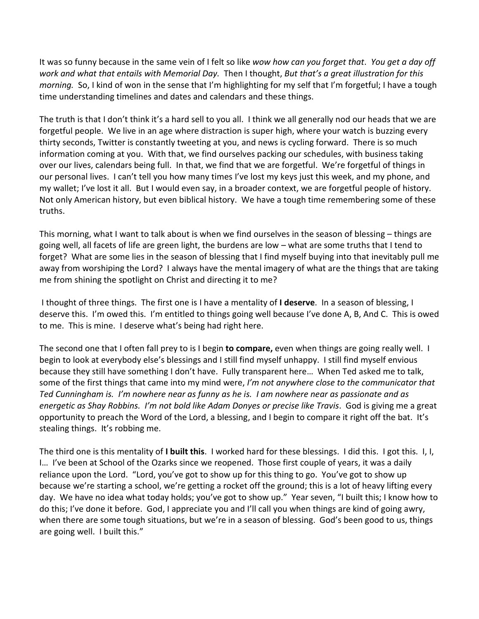It was so funny because in the same vein of I felt so like *wow how can you forget that*. *You get a day off work and what that entails with Memorial Day.* Then I thought, *But that's a great illustration for this morning.* So, I kind of won in the sense that I'm highlighting for my self that I'm forgetful; I have a tough time understanding timelines and dates and calendars and these things.

The truth is that I don't think it's a hard sell to you all. I think we all generally nod our heads that we are forgetful people. We live in an age where distraction is super high, where your watch is buzzing every thirty seconds, Twitter is constantly tweeting at you, and news is cycling forward. There is so much information coming at you. With that, we find ourselves packing our schedules, with business taking over our lives, calendars being full. In that, we find that we are forgetful. We're forgetful of things in our personal lives. I can't tell you how many times I've lost my keys just this week, and my phone, and my wallet; I've lost it all. But I would even say, in a broader context, we are forgetful people of history. Not only American history, but even biblical history. We have a tough time remembering some of these truths.

This morning, what I want to talk about is when we find ourselves in the season of blessing – things are going well, all facets of life are green light, the burdens are low – what are some truths that I tend to forget? What are some lies in the season of blessing that I find myself buying into that inevitably pull me away from worshiping the Lord? I always have the mental imagery of what are the things that are taking me from shining the spotlight on Christ and directing it to me?

 I thought of three things. The first one is I have a mentality of **I deserve**. In a season of blessing, I deserve this. I'm owed this. I'm entitled to things going well because I've done A, B, And C. This is owed to me. This is mine. I deserve what's being had right here.

The second one that I often fall prey to is I begin **to compare,** even when things are going really well. I begin to look at everybody else's blessings and I still find myself unhappy. I still find myself envious because they still have something I don't have. Fully transparent here… When Ted asked me to talk, some of the first things that came into my mind were, *I'm not anywhere close to the communicator that Ted Cunningham is. I'm nowhere near as funny as he is. I am nowhere near as passionate and as energetic as Shay Robbins. I'm not bold like Adam Donyes or precise like Travis*. God is giving me a great opportunity to preach the Word of the Lord, a blessing, and I begin to compare it right off the bat. It's stealing things. It's robbing me.

The third one is this mentality of **I built this**. I worked hard for these blessings. I did this. I got this. I, I, I… I've been at School of the Ozarks since we reopened. Those first couple of years, it was a daily reliance upon the Lord. "Lord, you've got to show up for this thing to go. You've got to show up because we're starting a school, we're getting a rocket off the ground; this is a lot of heavy lifting every day. We have no idea what today holds; you've got to show up." Year seven, "I built this; I know how to do this; I've done it before. God, I appreciate you and I'll call you when things are kind of going awry, when there are some tough situations, but we're in a season of blessing. God's been good to us, things are going well. I built this."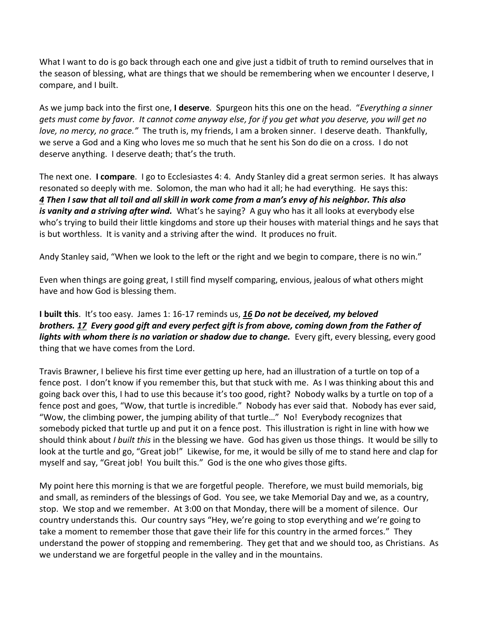What I want to do is go back through each one and give just a tidbit of truth to remind ourselves that in the season of blessing, what are things that we should be remembering when we encounter I deserve, I compare, and I built.

As we jump back into the first one, **I deserve**. Spurgeon hits this one on the head. "*Everything a sinner gets must come by favor. It cannot come anyway else, for if you get what you deserve, you will get no love, no mercy, no grace."* The truth is, my friends, I am a broken sinner. I deserve death. Thankfully, we serve a God and a King who loves me so much that he sent his Son do die on a cross. I do not deserve anything. I deserve death; that's the truth.

The next one. **I compare**. I go to Ecclesiastes 4: 4. Andy Stanley did a great sermon series. It has always resonated so deeply with me. Solomon, the man who had it all; he had everything. He says this: *[4](https://www.studylight.org/desk/?q=ec%204:4&t1=en_esv&sr=1) Then I saw that all toil and all skill in work come from a man's envy of his neighbor. This also*  is vanity and a striving after wind. What's he saying? A guy who has it all looks at everybody else who's trying to build their little kingdoms and store up their houses with material things and he says that is but worthless. It is vanity and a striving after the wind. It produces no fruit.

Andy Stanley said, "When we look to the left or the right and we begin to compare, there is no win."

Even when things are going great, I still find myself comparing, envious, jealous of what others might have and how God is blessing them.

**I built this**. It's too easy. James 1: 16-17 reminds us, *[16](https://www.studylight.org/desk/?q=jas%201:16&t1=en_esv&sr=1) Do not be deceived, my beloved brothers. [17](https://www.studylight.org/desk/?q=jas%201:17&t1=en_esv&sr=1) Every good gift and every perfect gift is from above, coming down from the Father of lights with whom there is no variation or shadow due to change.* Every gift, every blessing, every good thing that we have comes from the Lord.

Travis Brawner, I believe his first time ever getting up here, had an illustration of a turtle on top of a fence post. I don't know if you remember this, but that stuck with me. As I was thinking about this and going back over this, I had to use this because it's too good, right? Nobody walks by a turtle on top of a fence post and goes, "Wow, that turtle is incredible." Nobody has ever said that. Nobody has ever said, "Wow, the climbing power, the jumping ability of that turtle…" No! Everybody recognizes that somebody picked that turtle up and put it on a fence post. This illustration is right in line with how we should think about *I built this* in the blessing we have. God has given us those things. It would be silly to look at the turtle and go, "Great job!" Likewise, for me, it would be silly of me to stand here and clap for myself and say, "Great job! You built this." God is the one who gives those gifts.

My point here this morning is that we are forgetful people. Therefore, we must build memorials, big and small, as reminders of the blessings of God. You see, we take Memorial Day and we, as a country, stop. We stop and we remember. At 3:00 on that Monday, there will be a moment of silence. Our country understands this. Our country says "Hey, we're going to stop everything and we're going to take a moment to remember those that gave their life for this country in the armed forces." They understand the power of stopping and remembering. They get that and we should too, as Christians. As we understand we are forgetful people in the valley and in the mountains.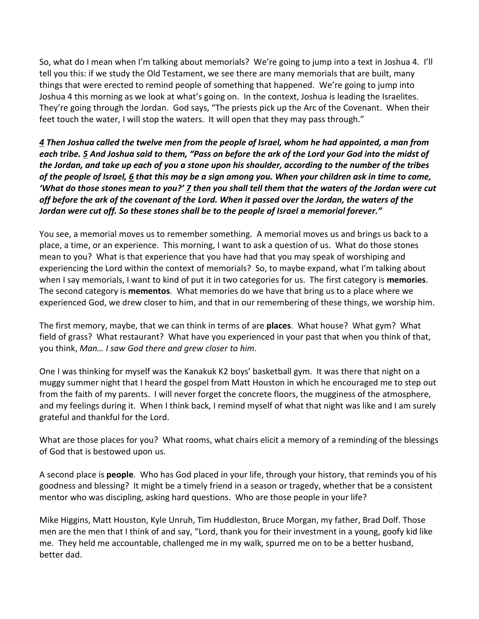So, what do I mean when I'm talking about memorials? We're going to jump into a text in Joshua 4. I'll tell you this: if we study the Old Testament, we see there are many memorials that are built, many things that were erected to remind people of something that happened. We're going to jump into Joshua 4 this morning as we look at what's going on. In the context, Joshua is leading the Israelites. They're going through the Jordan. God says, "The priests pick up the Arc of the Covenant. When their feet touch the water, I will stop the waters. It will open that they may pass through."

*[4](https://www.studylight.org/desk/?q=jos%204:4&t1=en_esv&sr=1) Then Joshua called the twelve men from the people of Israel, whom he had appointed, a man from each tribe. [5](https://www.studylight.org/desk/?q=jos%204:5&t1=en_esv&sr=1) And Joshua said to them, "Pass on before the ark of the Lord your God into the midst of the Jordan, and take up each of you a stone upon his shoulder, according to the number of the tribes of the people of Israel, [6](https://www.studylight.org/desk/?q=jos%204:6&t1=en_esv&sr=1) that this may be a sign among you. When your children ask in time to come, 'What do those stones mean to you?' [7](https://www.studylight.org/desk/?q=jos%204:7&t1=en_esv&sr=1) then you shall tell them that the waters of the Jordan were cut off before the ark of the covenant of the Lord. When it passed over the Jordan, the waters of the Jordan were cut off. So these stones shall be to the people of Israel a memorial forever."* 

You see, a memorial moves us to remember something. A memorial moves us and brings us back to a place, a time, or an experience. This morning, I want to ask a question of us. What do those stones mean to you? What is that experience that you have had that you may speak of worshiping and experiencing the Lord within the context of memorials? So, to maybe expand, what I'm talking about when I say memorials, I want to kind of put it in two categories for us. The first category is **memories**. The second category is **mementos**. What memories do we have that bring us to a place where we experienced God, we drew closer to him, and that in our remembering of these things, we worship him.

The first memory, maybe, that we can think in terms of are **places**. What house? What gym? What field of grass? What restaurant? What have you experienced in your past that when you think of that, you think, *Man… I saw God there and grew closer to him*.

One I was thinking for myself was the Kanakuk K2 boys' basketball gym. It was there that night on a muggy summer night that I heard the gospel from Matt Houston in which he encouraged me to step out from the faith of my parents. I will never forget the concrete floors, the mugginess of the atmosphere, and my feelings during it. When I think back, I remind myself of what that night was like and I am surely grateful and thankful for the Lord.

What are those places for you? What rooms, what chairs elicit a memory of a reminding of the blessings of God that is bestowed upon us.

A second place is **people**. Who has God placed in your life, through your history, that reminds you of his goodness and blessing? It might be a timely friend in a season or tragedy, whether that be a consistent mentor who was discipling, asking hard questions. Who are those people in your life?

Mike Higgins, Matt Houston, Kyle Unruh, Tim Huddleston, Bruce Morgan, my father, Brad Dolf. Those men are the men that I think of and say, "Lord, thank you for their investment in a young, goofy kid like me. They held me accountable, challenged me in my walk, spurred me on to be a better husband, better dad.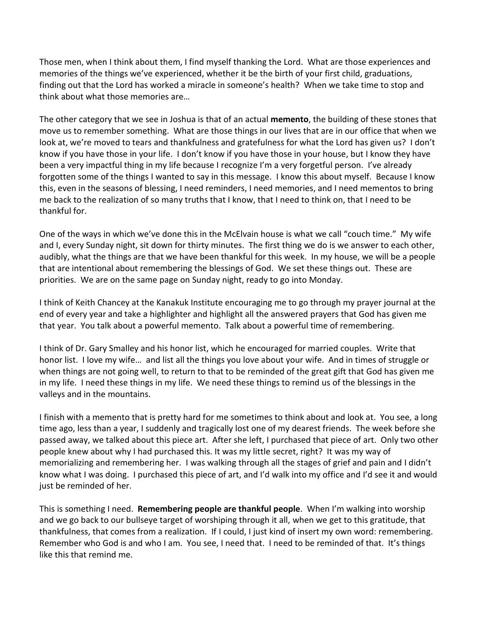Those men, when I think about them, I find myself thanking the Lord. What are those experiences and memories of the things we've experienced, whether it be the birth of your first child, graduations, finding out that the Lord has worked a miracle in someone's health? When we take time to stop and think about what those memories are…

The other category that we see in Joshua is that of an actual **memento**, the building of these stones that move us to remember something. What are those things in our lives that are in our office that when we look at, we're moved to tears and thankfulness and gratefulness for what the Lord has given us? I don't know if you have those in your life. I don't know if you have those in your house, but I know they have been a very impactful thing in my life because I recognize I'm a very forgetful person. I've already forgotten some of the things I wanted to say in this message. I know this about myself. Because I know this, even in the seasons of blessing, I need reminders, I need memories, and I need mementos to bring me back to the realization of so many truths that I know, that I need to think on, that I need to be thankful for.

One of the ways in which we've done this in the McElvain house is what we call "couch time." My wife and I, every Sunday night, sit down for thirty minutes. The first thing we do is we answer to each other, audibly, what the things are that we have been thankful for this week. In my house, we will be a people that are intentional about remembering the blessings of God. We set these things out. These are priorities. We are on the same page on Sunday night, ready to go into Monday.

I think of Keith Chancey at the Kanakuk Institute encouraging me to go through my prayer journal at the end of every year and take a highlighter and highlight all the answered prayers that God has given me that year. You talk about a powerful memento. Talk about a powerful time of remembering.

I think of Dr. Gary Smalley and his honor list, which he encouraged for married couples. Write that honor list. I love my wife… and list all the things you love about your wife. And in times of struggle or when things are not going well, to return to that to be reminded of the great gift that God has given me in my life. I need these things in my life. We need these things to remind us of the blessings in the valleys and in the mountains.

I finish with a memento that is pretty hard for me sometimes to think about and look at. You see, a long time ago, less than a year, I suddenly and tragically lost one of my dearest friends. The week before she passed away, we talked about this piece art. After she left, I purchased that piece of art. Only two other people knew about why I had purchased this. It was my little secret, right? It was my way of memorializing and remembering her. I was walking through all the stages of grief and pain and I didn't know what I was doing. I purchased this piece of art, and I'd walk into my office and I'd see it and would just be reminded of her.

This is something I need. **Remembering people are thankful people**. When I'm walking into worship and we go back to our bullseye target of worshiping through it all, when we get to this gratitude, that thankfulness, that comes from a realization. If I could, I just kind of insert my own word: remembering. Remember who God is and who I am. You see, I need that. I need to be reminded of that. It's things like this that remind me.